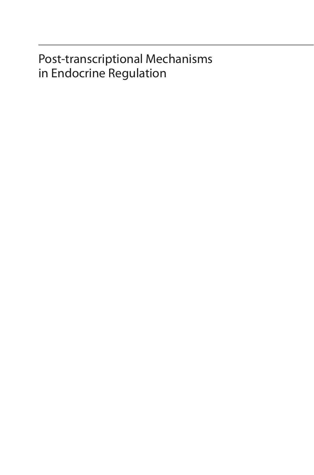Post-transcriptional Mechanisms in Endocrine Regulation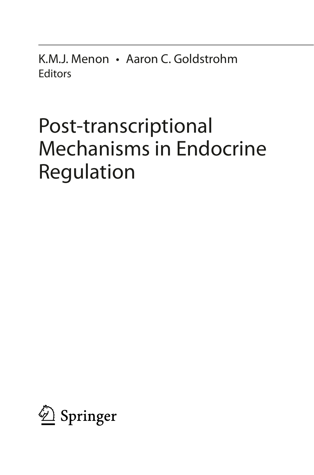K.M.J. Menon • Aaron C. Goldstrohm Editors

## Post-transcriptional Mechanisms in Endocrine Regulation

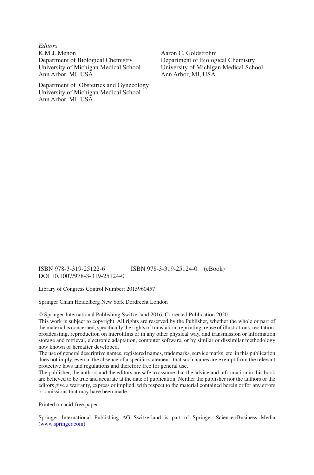*Editors* K.M.J. Menon Department of Biological Chemistry University of Michigan Medical School Ann Arbor, MI, USA

Department of Obstetrics and Gynecology University of Michigan Medical School Ann Arbor, MI, USA

Aaron C. Goldstrohm Department of Biological Chemistry University of Michigan Medical School Ann Arbor, MI, USA

DOI 10.1007/978-3-319-25124-0

ISBN 978-3-319-25122-6 ISBN 978-3-319-25124-0 (eBook)

Library of Congress Control Number: 2015960457

Springer Cham Heidelberg New York Dordrecht London

© Springer International Publishing Switzerland 2016, Corrected Publication 2020

This work is subject to copyright. All rights are reserved by the Publisher, whether the whole or part of the material is concerned, specifcally the rights of translation, reprinting, reuse of illustrations, recitation, broadcasting, reproduction on microflms or in any other physical way, and transmission or information storage and retrieval, electronic adaptation, computer software, or by similar or dissimilar methodology now known or hereafter developed.

The use of general descriptive names, registered names, trademarks, service marks, etc. in this publication does not imply, even in the absence of a specific statement, that such names are exempt from the relevant protective laws and regulations and therefore free for general use.

The publisher, the authors and the editors are safe to assume that the advice and information in this book are believed to be true and accurate at the date of publication. Neither the publisher nor the authors or the editors give a warranty, express or implied, with respect to the material contained herein or for any errors or omissions that may have been made.

Printed on acid-free paper

Springer International Publishing AG Switzerland is part of Springer Science+Business Media ([www.springer.com\)](www.springer.com)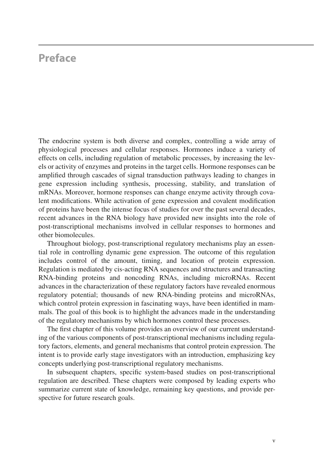## **Preface**

The endocrine system is both diverse and complex, controlling a wide array of physiological processes and cellular responses. Hormones induce a variety of effects on cells, including regulation of metabolic processes, by increasing the levels or activity of enzymes and proteins in the target cells. Hormone responses can be amplifed through cascades of signal transduction pathways leading to changes in gene expression including synthesis, processing, stability, and translation of mRNAs. Moreover, hormone responses can change enzyme activity through covalent modifcations. While activation of gene expression and covalent modifcation of proteins have been the intense focus of studies for over the past several decades, recent advances in the RNA biology have provided new insights into the role of post-transcriptional mechanisms involved in cellular responses to hormones and other biomolecules.

Throughout biology, post-transcriptional regulatory mechanisms play an essential role in controlling dynamic gene expression. The outcome of this regulation includes control of the amount, timing, and location of protein expression. Regulation is mediated by cis-acting RNA sequences and structures and transacting RNA-binding proteins and noncoding RNAs, including microRNAs. Recent advances in the characterization of these regulatory factors have revealed enormous regulatory potential; thousands of new RNA-binding proteins and microRNAs, which control protein expression in fascinating ways, have been identifed in mammals. The goal of this book is to highlight the advances made in the understanding of the regulatory mechanisms by which hormones control these processes.

The frst chapter of this volume provides an overview of our current understanding of the various components of post-transcriptional mechanisms including regulatory factors, elements, and general mechanisms that control protein expression. The intent is to provide early stage investigators with an introduction, emphasizing key concepts underlying post-transcriptional regulatory mechanisms.

In subsequent chapters, specifc system-based studies on post-transcriptional regulation are described. These chapters were composed by leading experts who summarize current state of knowledge, remaining key questions, and provide perspective for future research goals.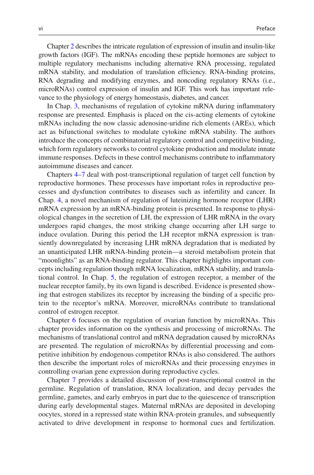Chapter [2](https://doi.org/10.1007/978-3-319-25124-0_2) describes the intricate regulation of expression of insulin and insulin-like growth factors (IGF). The mRNAs encoding these peptide hormones are subject to multiple regulatory mechanisms including alternative RNA processing, regulated mRNA stability, and modulation of translation effciency. RNA-binding proteins, RNA degrading and modifying enzymes, and noncoding regulatory RNAs (i.e., microRNAs) control expression of insulin and IGF. This work has important relevance to the physiology of energy homeostasis, diabetes, and cancer.

In Chap. [3,](https://doi.org/10.1007/978-3-319-25124-0_3) mechanisms of regulation of cytokine mRNA during infammatory response are presented. Emphasis is placed on the cis-acting elements of cytokine mRNAs including the now classic adenosine-uridine rich elements (AREs), which act as bifunctional switches to modulate cytokine mRNA stability. The authors introduce the concepts of combinatorial regulatory control and competitive binding, which form regulatory networks to control cytokine production and modulate innate immune responses. Defects in these control mechanisms contribute to infammatory autoimmune diseases and cancer.

Chapters [4](https://doi.org/10.1007/978-3-319-25124-0_4)[–7](https://doi.org/10.1007/978-3-319-25124-0_7) deal with post-transcriptional regulation of target cell function by reproductive hormones. These processes have important roles in reproductive processes and dysfunction contributes to diseases such as infertility and cancer. In Chap. [4,](https://doi.org/10.1007/978-3-319-25124-0_4) a novel mechanism of regulation of luteinizing hormone receptor (LHR) mRNA expression by an mRNA-binding protein is presented. In response to physiological changes in the secretion of LH, the expression of LHR mRNA in the ovary undergoes rapid changes, the most striking change occurring after LH surge to induce ovulation. During this period the LH receptor mRNA expression is transiently downregulated by increasing LHR mRNA degradation that is mediated by an unanticipated LHR mRNA-binding protein—a steroid metabolism protein that "moonlights" as an RNA-binding regulator. This chapter highlights important concepts including regulation though mRNA localization, mRNA stability, and translational control. In Chap. [5](https://doi.org/10.1007/978-3-319-25124-0_5), the regulation of estrogen receptor, a member of the nuclear receptor family, by its own ligand is described. Evidence is presented showing that estrogen stabilizes its receptor by increasing the binding of a specifc protein to the receptor's mRNA. Moreover, microRNAs contribute to translational control of estrogen receptor.

Chapter [6](https://doi.org/10.1007/978-3-319-25124-0_6) focuses on the regulation of ovarian function by microRNAs. This chapter provides information on the synthesis and processing of microRNAs. The mechanisms of translational control and mRNA degradation caused by microRNAs are presented. The regulation of microRNAs by differential processing and competitive inhibition by endogenous competitor RNAs is also considered. The authors then describe the important roles of microRNAs and their processing enzymes in controlling ovarian gene expression during reproductive cycles.

Chapter [7](https://doi.org/10.1007/978-3-319-25124-0_7) provides a detailed discussion of post-transcriptional control in the germline. Regulation of translation, RNA localization, and decay pervades the germline, gametes, and early embryos in part due to the quiescence of transcription during early developmental stages. Maternal mRNAs are deposited in developing oocytes, stored in a repressed state within RNA-protein granules, and subsequently activated to drive development in response to hormonal cues and fertilization.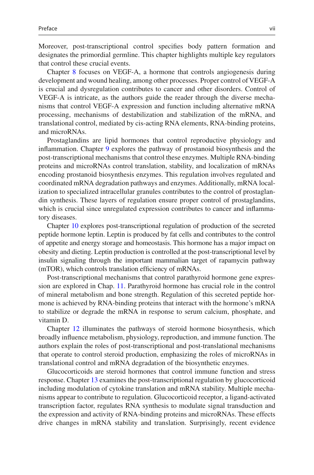Moreover, post-transcriptional control specifes body pattern formation and designates the primordial germline. This chapter highlights multiple key regulators that control these crucial events.

Chapter [8](https://doi.org/10.1007/978-3-319-25124-0_8) focuses on VEGF-A, a hormone that controls angiogenesis during development and wound healing, among other processes. Proper control of VEGF-A is crucial and dysregulation contributes to cancer and other disorders. Control of VEGF-A is intricate, as the authors guide the reader through the diverse mechanisms that control VEGF-A expression and function including alternative mRNA processing, mechanisms of destabilization and stabilization of the mRNA, and translational control, mediated by cis-acting RNA elements, RNA-binding proteins, and microRNAs.

Prostaglandins are lipid hormones that control reproductive physiology and infammation. Chapter [9](https://doi.org/10.1007/978-3-319-25124-0_9) explores the pathway of prostanoid biosynthesis and the post-transcriptional mechanisms that control these enzymes. Multiple RNA-binding proteins and microRNAs control translation, stability, and localization of mRNAs encoding prostanoid biosynthesis enzymes. This regulation involves regulated and coordinated mRNA degradation pathways and enzymes. Additionally, mRNA localization to specialized intracellular granules contributes to the control of prostaglandin synthesis. These layers of regulation ensure proper control of prostaglandins, which is crucial since unregulated expression contributes to cancer and infammatory diseases.

Chapter [10](https://doi.org/10.1007/978-3-319-25124-0_10) explores post-transcriptional regulation of production of the secreted peptide hormone leptin. Leptin is produced by fat cells and contributes to the control of appetite and energy storage and homeostasis. This hormone has a major impact on obesity and dieting. Leptin production is controlled at the post-transcriptional level by insulin signaling through the important mammalian target of rapamycin pathway (mTOR), which controls translation efficiency of mRNAs.

Post-transcriptional mechanisms that control parathyroid hormone gene expression are explored in Chap. [11](https://doi.org/10.1007/978-3-319-25124-0_11). Parathyroid hormone has crucial role in the control of mineral metabolism and bone strength. Regulation of this secreted peptide hormone is achieved by RNA-binding proteins that interact with the hormone's mRNA to stabilize or degrade the mRNA in response to serum calcium, phosphate, and vitamin D.

Chapter [12](https://doi.org/10.1007/978-3-319-25124-0_12) illuminates the pathways of steroid hormone biosynthesis, which broadly infuence metabolism, physiology, reproduction, and immune function. The authors explain the roles of post-transcriptional and post-translational mechanisms that operate to control steroid production, emphasizing the roles of microRNAs in translational control and mRNA degradation of the biosynthetic enzymes.

Glucocorticoids are steroid hormones that control immune function and stress response. Chapter [13](https://doi.org/10.1007/978-3-319-25124-0_13) examines the post-transcriptional regulation by glucocorticoid including modulation of cytokine translation and mRNA stability. Multiple mechanisms appear to contribute to regulation. Glucocorticoid receptor, a ligand-activated transcription factor, regulates RNA synthesis to modulate signal transduction and the expression and activity of RNA-binding proteins and microRNAs. These effects drive changes in mRNA stability and translation. Surprisingly, recent evidence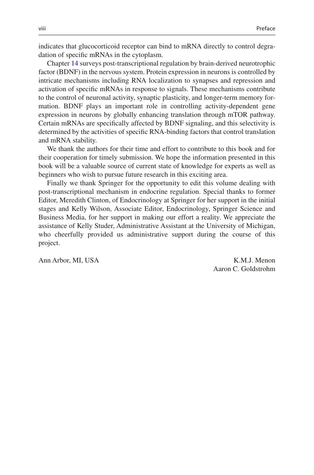indicates that glucocorticoid receptor can bind to mRNA directly to control degradation of specifc mRNAs in the cytoplasm.

Chapter [14](https://doi.org/10.1007/978-3-319-25124-0_14) surveys post-transcriptional regulation by brain-derived neurotrophic factor (BDNF) in the nervous system. Protein expression in neurons is controlled by intricate mechanisms including RNA localization to synapses and repression and activation of specifc mRNAs in response to signals. These mechanisms contribute to the control of neuronal activity, synaptic plasticity, and longer-term memory formation. BDNF plays an important role in controlling activity-dependent gene expression in neurons by globally enhancing translation through mTOR pathway. Certain mRNAs are specifcally affected by BDNF signaling, and this selectivity is determined by the activities of specifc RNA-binding factors that control translation and mRNA stability.

We thank the authors for their time and effort to contribute to this book and for their cooperation for timely submission. We hope the information presented in this book will be a valuable source of current state of knowledge for experts as well as beginners who wish to pursue future research in this exciting area.

Finally we thank Springer for the opportunity to edit this volume dealing with post-transcriptional mechanism in endocrine regulation. Special thanks to former Editor, Meredith Clinton, of Endocrinology at Springer for her support in the initial stages and Kelly Wilson, Associate Editor, Endocrinology, Springer Science and Business Media, for her support in making our effort a reality. We appreciate the assistance of Kelly Studer, Administrative Assistant at the University of Michigan, who cheerfully provided us administrative support during the course of this project.

Ann Arbor, MI, USA K.M.J. Menon Aaron C. Goldstrohm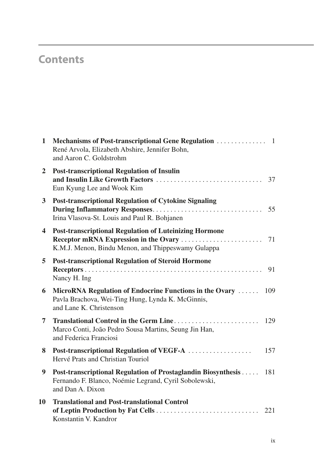## **Contents**

| $\mathbf{1}$   | René Arvola, Elizabeth Abshire, Jennifer Bohn,<br>and Aaron C. Goldstrohm                                                                      |     |
|----------------|------------------------------------------------------------------------------------------------------------------------------------------------|-----|
| $\overline{2}$ | <b>Post-transcriptional Regulation of Insulin</b><br>Eun Kyung Lee and Wook Kim                                                                | 37  |
| $\mathbf{3}$   | <b>Post-transcriptional Regulation of Cytokine Signaling</b><br>Irina Vlasova-St. Louis and Paul R. Bohjanen                                   | 55  |
| 4              | <b>Post-transcriptional Regulation of Luteinizing Hormone</b><br>K.M.J. Menon, Bindu Menon, and Thippeswamy Gulappa                            |     |
| 5              | <b>Post-transcriptional Regulation of Steroid Hormone</b><br>Nancy H. Ing                                                                      | 91  |
| 6              | MicroRNA Regulation of Endocrine Functions in the Ovary<br>Pavla Brachova, Wei-Ting Hung, Lynda K. McGinnis,<br>and Lane K. Christenson        | 109 |
| 7              | Marco Conti, João Pedro Sousa Martins, Seung Jin Han,<br>and Federica Franciosi                                                                | 129 |
| 8              | Post-transcriptional Regulation of VEGF-A<br>Hervé Prats and Christian Touriol                                                                 | 157 |
| 9              | Post-transcriptional Regulation of Prostaglandin Biosynthesis 181<br>Fernando F. Blanco, Noémie Legrand, Cyril Sobolewski,<br>and Dan A. Dixon |     |
| 10             | <b>Translational and Post-translational Control</b><br>Konstantin V. Kandror                                                                   | 221 |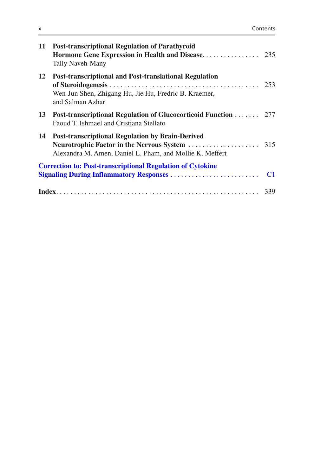| 11 | <b>Post-transcriptional Regulation of Parathyroid</b><br><b>Tally Naveh-Many</b>                                                           |    |
|----|--------------------------------------------------------------------------------------------------------------------------------------------|----|
| 12 | <b>Post-transcriptional and Post-translational Regulation</b><br>Wen-Jun Shen, Zhigang Hu, Jie Hu, Fredric B. Kraemer,<br>and Salman Azhar |    |
| 13 | Post-transcriptional Regulation of Glucocorticoid Function  277<br>Faoud T. Ishmael and Cristiana Stellato                                 |    |
| 14 | <b>Post-transcriptional Regulation by Brain-Derived</b><br>Alexandra M. Amen, Daniel L. Pham, and Mollie K. Meffert                        |    |
|    | <b>Correction to: Post-transcriptional Regulation of Cytokine</b><br><b>Signaling During Inflammatory Responses </b>                       | C1 |
|    |                                                                                                                                            |    |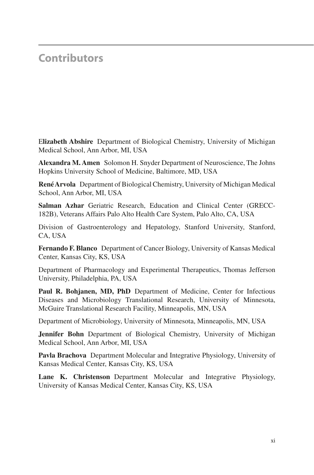## **Contributors**

E**lizabeth Abshire** Department of Biological Chemistry, University of Michigan Medical School, Ann Arbor, MI, USA

**Alexandra M. Amen** Solomon H. Snyder Department of Neuroscience, The Johns Hopkins University School of Medicine, Baltimore, MD, USA

**RenéArvola** Department of Biological Chemistry, University of Michigan Medical School, Ann Arbor, MI, USA

**Salman Azhar** Geriatric Research, Education and Clinical Center (GRECC-182B), Veterans Affairs Palo Alto Health Care System, Palo Alto, CA, USA

Division of Gastroenterology and Hepatology, Stanford University, Stanford, CA, USA

**Fernando F. Blanco** Department of Cancer Biology, University of Kansas Medical Center, Kansas City, KS, USA

Department of Pharmacology and Experimental Therapeutics, Thomas Jefferson University, Philadelphia, PA, USA

**Paul R. Bohjanen, MD, PhD** Department of Medicine, Center for Infectious Diseases and Microbiology Translational Research, University of Minnesota, McGuire Translational Research Facility, Minneapolis, MN, USA

Department of Microbiology, University of Minnesota, Minneapolis, MN, USA

**Jennifer Bohn** Department of Biological Chemistry, University of Michigan Medical School, Ann Arbor, MI, USA

**Pavla Brachova** Department Molecular and Integrative Physiology, University of Kansas Medical Center, Kansas City, KS, USA

**Lane K. Christenson** Department Molecular and Integrative Physiology, University of Kansas Medical Center, Kansas City, KS, USA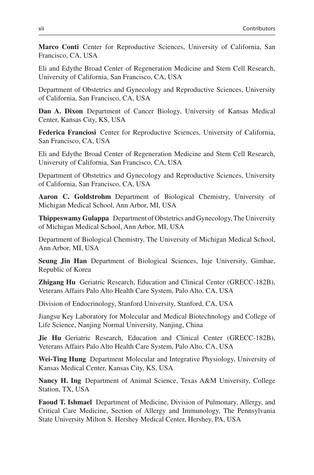**Marco Conti** Center for Reproductive Sciences, University of California, San Francisco, CA, USA

Eli and Edythe Broad Center of Regeneration Medicine and Stem Cell Research, University of California, San Francisco, CA, USA

Department of Obstetrics and Gynecology and Reproductive Sciences, University of California, San Francisco, CA, USA

**Dan A. Dixon** Department of Cancer Biology, University of Kansas Medical Center, Kansas City, KS, USA

**Federica Franciosi** Center for Reproductive Sciences, University of California, San Francisco, CA, USA

Eli and Edythe Broad Center of Regeneration Medicine and Stem Cell Research, University of California, San Francisco, CA, USA

Department of Obstetrics and Gynecology and Reproductive Sciences, University of California, San Francisco, CA, USA

**Aaron C. Goldstrohm** Department of Biological Chemistry, University of Michigan Medical School, Ann Arbor, MI, USA

**ThippeswamyGulappa** Department of Obstetrics and Gynecology, The University of Michigan Medical School, Ann Arbor, MI, USA

Department of Biological Chemistry, The University of Michigan Medical School, Ann Arbor, MI, USA

**Seung Jin Han** Department of Biological Sciences, Inje University, Gimhae, Republic of Korea

**Zhigang Hu** Geriatric Research, Education and Clinical Center (GRECC-182B), Veterans Affairs Palo Alto Health Care System, Palo Alto, CA, USA

Division of Endocrinology, Stanford University, Stanford, CA, USA

Jiangsu Key Laboratory for Molecular and Medical Biotechnology and College of Life Science, Nanjing Normal University, Nanjing, China

**Jie Hu** Geriatric Research, Education and Clinical Center (GRECC-182B), Veterans Affairs Palo Alto Health Care System, Palo Alto, CA, USA

**Wei-Ting Hung** Department Molecular and Integrative Physiology, University of Kansas Medical Center, Kansas City, KS, USA

**Nancy H. Ing** Department of Animal Science, Texas A&M University, College Station, TX, USA

**Faoud T. Ishmael** Department of Medicine, Division of Pulmonary, Allergy, and Critical Care Medicine, Section of Allergy and Immunology, The Pennsylvania State University Milton S. Hershey Medical Center, Hershey, PA, USA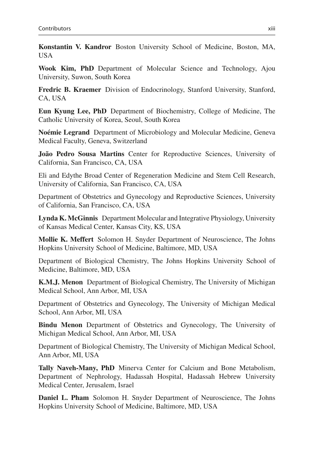**Konstantin V. Kandror** Boston University School of Medicine, Boston, MA, USA

**Wook Kim, PhD** Department of Molecular Science and Technology, Ajou University, Suwon, South Korea

**Fredric B. Kraemer** Division of Endocrinology, Stanford University, Stanford, CA, USA

**Eun Kyung Lee, PhD** Department of Biochemistry, College of Medicine, The Catholic University of Korea, Seoul, South Korea

**Noémie Legrand** Department of Microbiology and Molecular Medicine, Geneva Medical Faculty, Geneva, Switzerland

**João Pedro Sousa Martins** Center for Reproductive Sciences, University of California, San Francisco, CA, USA

Eli and Edythe Broad Center of Regeneration Medicine and Stem Cell Research, University of California, San Francisco, CA, USA

Department of Obstetrics and Gynecology and Reproductive Sciences, University of California, San Francisco, CA, USA

**Lynda K. McGinnis** Department Molecular and Integrative Physiology, University of Kansas Medical Center, Kansas City, KS, USA

**Mollie K. Meffert** Solomon H. Snyder Department of Neuroscience, The Johns Hopkins University School of Medicine, Baltimore, MD, USA

Department of Biological Chemistry, The Johns Hopkins University School of Medicine, Baltimore, MD, USA

**K.M.J. Menon** Department of Biological Chemistry, The University of Michigan Medical School, Ann Arbor, MI, USA

Department of Obstetrics and Gynecology, The University of Michigan Medical School, Ann Arbor, MI, USA

**Bindu Menon** Department of Obstetrics and Gynecology, The University of Michigan Medical School, Ann Arbor, MI, USA

Department of Biological Chemistry, The University of Michigan Medical School, Ann Arbor, MI, USA

**Tally Naveh-Many, PhD** Minerva Center for Calcium and Bone Metabolism, Department of Nephrology, Hadassah Hospital, Hadassah Hebrew University Medical Center, Jerusalem, Israel

**Daniel L. Pham** Solomon H. Snyder Department of Neuroscience, The Johns Hopkins University School of Medicine, Baltimore, MD, USA